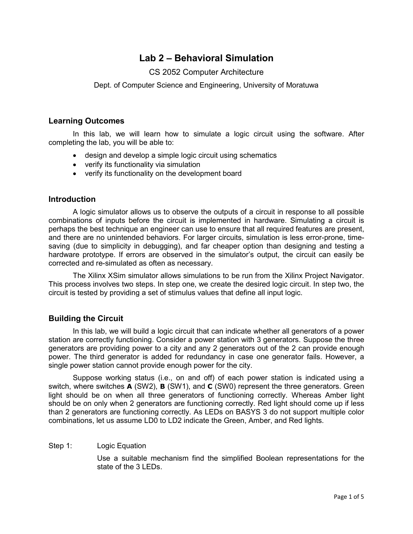# **Lab 2 – Behavioral Simulation**

# CS 2052 Computer Architecture

Dept. of Computer Science and Engineering, University of Moratuwa

## **Learning Outcomes**

In this lab, we will learn how to simulate a logic circuit using the software. After completing the lab, you will be able to:

- design and develop a simple logic circuit using schematics
- verify its functionality via simulation
- verify its functionality on the development board

## **Introduction**

A logic simulator allows us to observe the outputs of a circuit in response to all possible combinations of inputs before the circuit is implemented in hardware. Simulating a circuit is perhaps the best technique an engineer can use to ensure that all required features are present, and there are no unintended behaviors. For larger circuits, simulation is less error-prone, timesaving (due to simplicity in debugging), and far cheaper option than designing and testing a hardware prototype. If errors are observed in the simulator's output, the circuit can easily be corrected and re-simulated as often as necessary.

The Xilinx XSim simulator allows simulations to be run from the Xilinx Project Navigator. This process involves two steps. In step one, we create the desired logic circuit. In step two, the circuit is tested by providing a set of stimulus values that define all input logic.

# **Building the Circuit**

In this lab, we will build a logic circuit that can indicate whether all generators of a power station are correctly functioning. Consider a power station with 3 generators. Suppose the three generators are providing power to a city and any 2 generators out of the 2 can provide enough power. The third generator is added for redundancy in case one generator fails. However, a single power station cannot provide enough power for the city.

Suppose working status (i.e., on and off) of each power station is indicated using a switch, where switches **A** (SW2), **B** (SW1), and **C** (SW0) represent the three generators. Green light should be on when all three generators of functioning correctly. Whereas Amber light should be on only when 2 generators are functioning correctly. Red light should come up if less than 2 generators are functioning correctly. As LEDs on BASYS 3 do not support multiple color combinations, let us assume LD0 to LD2 indicate the Green, Amber, and Red lights.

## Step 1: Logic Equation

Use a suitable mechanism find the simplified Boolean representations for the state of the 3 LEDs.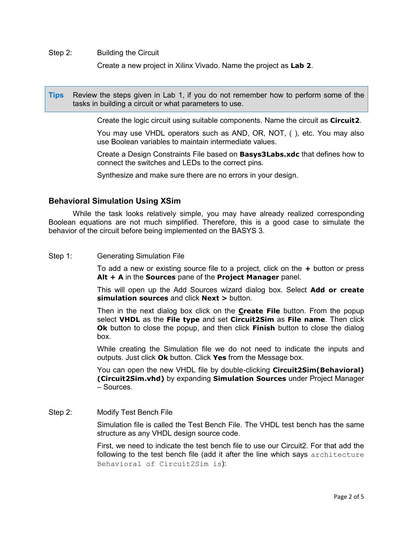Step 2: Building the Circuit

Create a new project in Xilinx Vivado. Name the project as **Lab 2**.

**Tips** Review the steps given in Lab 1, if you do not remember how to perform some of the tasks in building a circuit or what parameters to use.

Create the logic circuit using suitable components. Name the circuit as **Circuit2**.

You may use VHDL operators such as AND, OR, NOT, ( ), etc. You may also use Boolean variables to maintain intermediate values.

Create a Design Constraints File based on **Basys3Labs.xdc** that defines how to connect the switches and LEDs to the correct pins.

Synthesize and make sure there are no errors in your design.

## **Behavioral Simulation Using XSim**

While the task looks relatively simple, you may have already realized corresponding Boolean equations are not much simplified. Therefore, this is a good case to simulate the behavior of the circuit before being implemented on the BASYS 3.

#### Step 1: Generating Simulation File

To add a new or existing source file to a project, click on the **+** button or press **Alt + A** in the **Sources** pane of the **Project Manager** panel.

This will open up the Add Sources wizard dialog box. Select **Add or create simulation sources** and click **Next >** button.

Then in the next dialog box click on the **Create File** button. From the popup select **VHDL** as the **File type** and set **Circuit2Sim** as **File name**. Then click **Ok** button to close the popup, and then click **Finish** button to close the dialog box.

While creating the Simulation file we do not need to indicate the inputs and outputs. Just click **Ok** button. Click **Yes** from the Message box.

You can open the new VHDL file by double-clicking **Circuit2Sim(Behavioral) (Circuit2Sim.vhd)** by expanding **Simulation Sources** under Project Manager – Sources.

## Step 2: Modify Test Bench File

Simulation file is called the Test Bench File. The VHDL test bench has the same structure as any VHDL design source code.

First, we need to indicate the test bench file to use our Circuit2. For that add the following to the test bench file (add it after the line which says architecture Behavioral of Circuit2Sim is):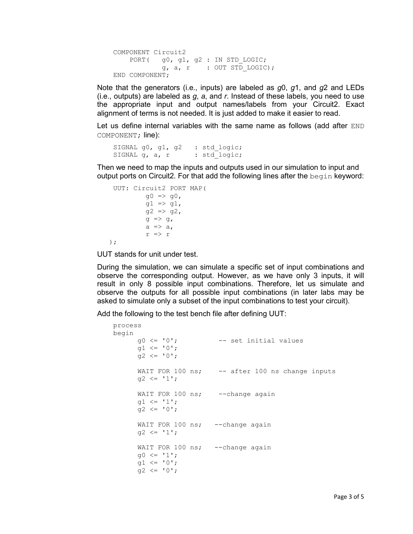```
 COMPONENT Circuit2
   PORT( g0, g1, g2 : IN STD LOGIC;
           q, a, r : OUT STD LOGIC);
 END COMPONENT;
```
Note that the generators (i.e., inputs) are labeled as *g*0, *g*1, and *g*2 and LEDs (i.e., outputs) are labeled as *g*, *a*, and *r*. Instead of these labels, you need to use the appropriate input and output names/labels from your Circuit2. Exact alignment of terms is not needed. It is just added to make it easier to read.

Let us define internal variables with the same name as follows (add after END COMPONENT; line):

```
SIGNAL g0, g1, g2 : std logic;
SIGNAL g, a, r : std logic;
```
Then we need to map the inputs and outputs used in our simulation to input and output ports on Circuit2. For that add the following lines after the  $begin{bmatrix} \n\text{begin} b\end{bmatrix}$  keyword:

```
 UUT: Circuit2 PORT MAP(
              g0 \implies g0,
              g1 \implies g1,
              g2 \implies g2,
              g \Rightarrow g,
              a \Rightarrow a,
              r \Rightarrow r );
```
UUT stands for unit under test.

During the simulation, we can simulate a specific set of input combinations and observe the corresponding output. However, as we have only 3 inputs, it will result in only 8 possible input combinations. Therefore, let us simulate and observe the outputs for all possible input combinations (in later labs may be asked to simulate only a subset of the input combinations to test your circuit).

Add the following to the test bench file after defining UUT:

```
 process
 begin
     g0 \leq 10'; - set initial values
      q1 \leq 0';
     q2 \leq 10';
      WAIT FOR 100 ns; -- after 100 ns change inputs
      g2 \leq 1';
     WAIT FOR 100 ns; --change again
      g1 \le '1';
     g2 \leq 0';
     WAIT FOR 100 ns; --change again
     q2 \leq 11;
     WAIT FOR 100 ns; --change again
      q0 \leq 1'1;
      q1 \leq 10';
      g2 \leq 0';
```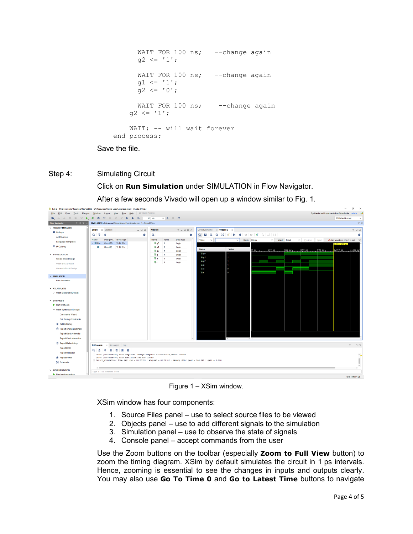```
WAIT FOR 100 ns; --change again
      g2 \leq 11;
      WAIT FOR 100 ns; --change again
      q1 \leq 1'1;
      q2 \leq 0';
      WAIT FOR 100 ns; -- change again
    q2 \leq 1'1;
    WAIT; -- will wait forever
 end process;
```
Save the file.

## Step 4: Simulating Circuit

Click on **Run Simulation** under SIMULATION in Flow Navigator. After a few seconds Vivado will open up a window similar to Fig. 1.



Figure 1 – XSim window.

XSim window has four components:

- 1. Source Files panel use to select source files to be viewed
- 2. Objects panel use to add different signals to the simulation
- 3. Simulation panel use to observe the state of signals
- 4. Console panel accept commands from the user

Use the Zoom buttons on the toolbar (especially **Zoom to Full View** button) to zoom the timing diagram. XSim by default simulates the circuit in 1 ps intervals. Hence, zooming is essential to see the changes in inputs and outputs clearly. You may also use **Go To Time 0** and **Go to Latest Time** buttons to navigate